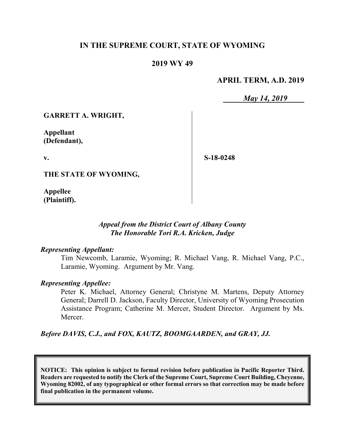# **IN THE SUPREME COURT, STATE OF WYOMING**

# **2019 WY 49**

# **APRIL TERM, A.D. 2019**

*May 14, 2019*

**GARRETT A. WRIGHT,**

**Appellant (Defendant),**

**v.**

**S-18-0248**

**THE STATE OF WYOMING,**

**Appellee (Plaintiff).**

# *Appeal from the District Court of Albany County The Honorable Tori R.A. Kricken, Judge*

#### *Representing Appellant:*

Tim Newcomb, Laramie, Wyoming; R. Michael Vang, R. Michael Vang, P.C., Laramie, Wyoming. Argument by Mr. Vang.

#### *Representing Appellee:*

Peter K. Michael, Attorney General; Christyne M. Martens, Deputy Attorney General; Darrell D. Jackson, Faculty Director, University of Wyoming Prosecution Assistance Program; Catherine M. Mercer, Student Director. Argument by Ms. Mercer.

*Before DAVIS, C.J., and FOX, KAUTZ, BOOMGAARDEN, and GRAY, JJ.*

**NOTICE: This opinion is subject to formal revision before publication in Pacific Reporter Third. Readers are requested to notify the Clerk of the Supreme Court, Supreme Court Building, Cheyenne, Wyoming 82002, of any typographical or other formal errors so that correction may be made before final publication in the permanent volume.**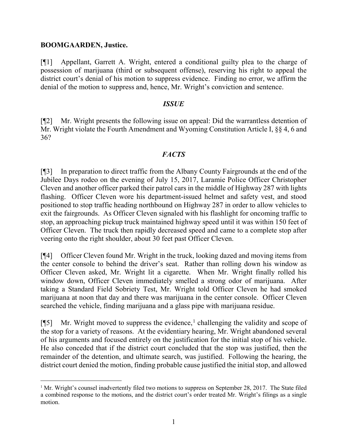## **BOOMGAARDEN, Justice.**

[¶1] Appellant, Garrett A. Wright, entered a conditional guilty plea to the charge of possession of marijuana (third or subsequent offense), reserving his right to appeal the district court's denial of his motion to suppress evidence. Finding no error, we affirm the denial of the motion to suppress and, hence, Mr. Wright's conviction and sentence.

#### *ISSUE*

[¶2] Mr. Wright presents the following issue on appeal: Did the warrantless detention of Mr. Wright violate the Fourth Amendment and Wyoming Constitution Article I, §§ 4, 6 and 36?

## *FACTS*

[¶3] In preparation to direct traffic from the Albany County Fairgrounds at the end of the Jubilee Days rodeo on the evening of July 15, 2017, Laramie Police Officer Christopher Cleven and another officer parked their patrol cars in the middle of Highway 287 with lights flashing. Officer Cleven wore his department-issued helmet and safety vest, and stood positioned to stop traffic heading northbound on Highway 287 in order to allow vehicles to exit the fairgrounds. As Officer Cleven signaled with his flashlight for oncoming traffic to stop, an approaching pickup truck maintained highway speed until it was within 150 feet of Officer Cleven. The truck then rapidly decreased speed and came to a complete stop after veering onto the right shoulder, about 30 feet past Officer Cleven.

[¶4] Officer Cleven found Mr. Wright in the truck, looking dazed and moving items from the center console to behind the driver's seat. Rather than rolling down his window as Officer Cleven asked, Mr. Wright lit a cigarette. When Mr. Wright finally rolled his window down, Officer Cleven immediately smelled a strong odor of marijuana. After taking a Standard Field Sobriety Test, Mr. Wright told Officer Cleven he had smoked marijuana at noon that day and there was marijuana in the center console. Officer Cleven searched the vehicle, finding marijuana and a glass pipe with marijuana residue.

[¶5] Mr. Wright moved to suppress the evidence,<sup>[1](#page-1-0)</sup> challenging the validity and scope of the stop for a variety of reasons. At the evidentiary hearing, Mr. Wright abandoned several of his arguments and focused entirely on the justification for the initial stop of his vehicle. He also conceded that if the district court concluded that the stop was justified, then the remainder of the detention, and ultimate search, was justified. Following the hearing, the district court denied the motion, finding probable cause justified the initial stop, and allowed

<span id="page-1-0"></span><sup>&</sup>lt;sup>1</sup> Mr. Wright's counsel inadvertently filed two motions to suppress on September 28, 2017. The State filed a combined response to the motions, and the district court's order treated Mr. Wright's filings as a single motion.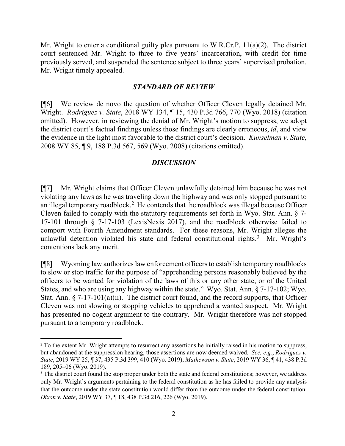Mr. Wright to enter a conditional guilty plea pursuant to W.R.Cr.P. 11(a)(2). The district court sentenced Mr. Wright to three to five years' incarceration, with credit for time previously served, and suspended the sentence subject to three years' supervised probation. Mr. Wright timely appealed.

#### *STANDARD OF REVIEW*

[¶6] We review de novo the question of whether Officer Cleven legally detained Mr. Wright. *Rodriguez v. State*, 2018 WY 134, ¶ 15, 430 P.3d 766, 770 (Wyo. 2018) (citation omitted). However, in reviewing the denial of Mr. Wright's motion to suppress, we adopt the district court's factual findings unless those findings are clearly erroneous, *id*, and view the evidence in the light most favorable to the district court's decision. *Kunselman v. State*, 2008 WY 85, ¶ 9, 188 P.3d 567, 569 (Wyo. 2008) (citations omitted).

## *DISCUSSION*

[¶7] Mr. Wright claims that Officer Cleven unlawfully detained him because he was not violating any laws as he was traveling down the highway and was only stopped pursuant to an illegal temporary roadblock.<sup>[2](#page-2-0)</sup> He contends that the roadblock was illegal because Officer Cleven failed to comply with the statutory requirements set forth in Wyo. Stat. Ann. § 7- 17-101 through § 7-17-103 (LexisNexis 2017), and the roadblock otherwise failed to comport with Fourth Amendment standards. For these reasons, Mr. Wright alleges the unlawful detention violated his state and federal constitutional rights.<sup>[3](#page-2-1)</sup> Mr. Wright's contentions lack any merit.

[¶8] Wyoming law authorizes law enforcement officers to establish temporary roadblocks to slow or stop traffic for the purpose of "apprehending persons reasonably believed by the officers to be wanted for violation of the laws of this or any other state, or of the United States, and who are using any highway within the state." Wyo. Stat. Ann. § 7-17-102; Wyo. Stat. Ann.  $\S 7-17-101(a)(ii)$ . The district court found, and the record supports, that Officer Cleven was not slowing or stopping vehicles to apprehend a wanted suspect. Mr. Wright has presented no cogent argument to the contrary. Mr. Wright therefore was not stopped pursuant to a temporary roadblock.

<span id="page-2-0"></span><sup>&</sup>lt;sup>2</sup> To the extent Mr. Wright attempts to resurrect any assertions he initially raised in his motion to suppress, but abandoned at the suppression hearing, those assertions are now deemed waived. *See, e.g.*, *Rodriguez v. State*, 2019 WY 25, ¶ 37, 435 P.3d 399, 410 (Wyo. 2019); *Mathewson v. State*, 2019 WY 36, ¶ 41, 438 P.3d 189, 205–06 (Wyo. 2019).

<span id="page-2-1"></span><sup>&</sup>lt;sup>3</sup> The district court found the stop proper under both the state and federal constitutions; however, we address only Mr. Wright's arguments pertaining to the federal constitution as he has failed to provide any analysis that the outcome under the state constitution would differ from the outcome under the federal constitution. *Dixon v. State*, 2019 WY 37, ¶ 18, 438 P.3d 216, 226 (Wyo. 2019).